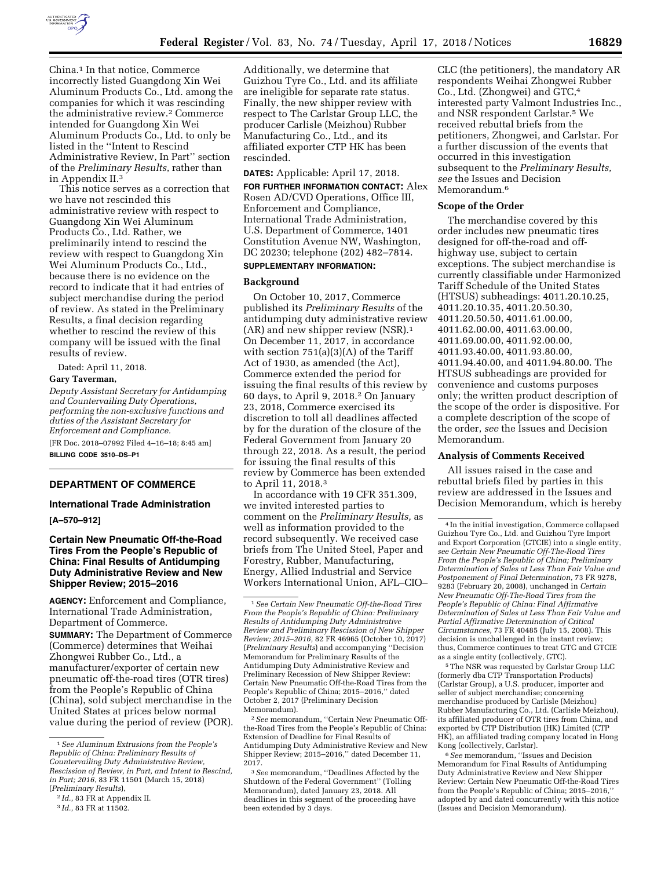

China.1 In that notice, Commerce incorrectly listed Guangdong Xin Wei Aluminum Products Co., Ltd. among the companies for which it was rescinding the administrative review.2 Commerce intended for Guangdong Xin Wei Aluminum Products Co., Ltd. to only be listed in the ''Intent to Rescind Administrative Review, In Part'' section of the *Preliminary Results*, rather than in Appendix II.3

This notice serves as a correction that we have not rescinded this administrative review with respect to Guangdong Xin Wei Aluminum Products Co., Ltd. Rather, we preliminarily intend to rescind the review with respect to Guangdong Xin Wei Aluminum Products Co., Ltd., because there is no evidence on the record to indicate that it had entries of subject merchandise during the period of review. As stated in the Preliminary Results, a final decision regarding whether to rescind the review of this company will be issued with the final results of review.

Dated: April 11, 2018.

## **Gary Taverman,**

*Deputy Assistant Secretary for Antidumping and Countervailing Duty Operations, performing the non-exclusive functions and duties of the Assistant Secretary for Enforcement and Compliance.*  [FR Doc. 2018–07992 Filed 4–16–18; 8:45 am]

**BILLING CODE 3510–DS–P1** 

#### **DEPARTMENT OF COMMERCE**

# **International Trade Administration**

**[A–570–912]** 

# **Certain New Pneumatic Off-the-Road Tires From the People's Republic of China: Final Results of Antidumping Duty Administrative Review and New Shipper Review; 2015–2016**

**AGENCY:** Enforcement and Compliance, International Trade Administration, Department of Commerce. **SUMMARY:** The Department of Commerce (Commerce) determines that Weihai Zhongwei Rubber Co., Ltd., a manufacturer/exporter of certain new pneumatic off-the-road tires (OTR tires) from the People's Republic of China (China), sold subject merchandise in the United States at prices below normal value during the period of review (POR).

Additionally, we determine that Guizhou Tyre Co., Ltd. and its affiliate are ineligible for separate rate status. Finally, the new shipper review with respect to The Carlstar Group LLC, the producer Carlisle (Meizhou) Rubber Manufacturing Co., Ltd., and its affiliated exporter CTP HK has been rescinded.

## **DATES:** Applicable: April 17, 2018.

**FOR FURTHER INFORMATION CONTACT:** Alex Rosen AD/CVD Operations, Office III, Enforcement and Compliance, International Trade Administration, U.S. Department of Commerce, 1401 Constitution Avenue NW, Washington, DC 20230; telephone (202) 482–7814.

# **SUPPLEMENTARY INFORMATION:**

#### **Background**

On October 10, 2017, Commerce published its *Preliminary Results* of the antidumping duty administrative review (AR) and new shipper review (NSR).1 On December 11, 2017, in accordance with section 751(a)(3)(A) of the Tariff Act of 1930, as amended (the Act), Commerce extended the period for issuing the final results of this review by 60 days, to April 9, 2018.2 On January 23, 2018, Commerce exercised its discretion to toll all deadlines affected by for the duration of the closure of the Federal Government from January 20 through 22, 2018. As a result, the period for issuing the final results of this review by Commerce has been extended to April 11, 2018.3

In accordance with 19 CFR 351.309, we invited interested parties to comment on the *Preliminary Results,* as well as information provided to the record subsequently. We received case briefs from The United Steel, Paper and Forestry, Rubber, Manufacturing, Energy, Allied Industrial and Service Workers International Union, AFL–CIO–

2*See* memorandum, ''Certain New Pneumatic Offthe-Road Tires from the People's Republic of China: Extension of Deadline for Final Results of Antidumping Duty Administrative Review and New Shipper Review; 2015–2016,'' dated December 11, 2017.

3*See* memorandum, ''Deadlines Affected by the Shutdown of the Federal Government'' (Tolling Memorandum), dated January 23, 2018. All deadlines in this segment of the proceeding have been extended by 3 days.

CLC (the petitioners), the mandatory AR respondents Weihai Zhongwei Rubber Co., Ltd. (Zhongwei) and GTC,4 interested party Valmont Industries Inc., and NSR respondent Carlstar.5 We received rebuttal briefs from the petitioners, Zhongwei, and Carlstar. For a further discussion of the events that occurred in this investigation subsequent to the *Preliminary Results, see* the Issues and Decision Memorandum.<sup>6</sup>

#### **Scope of the Order**

The merchandise covered by this order includes new pneumatic tires designed for off-the-road and offhighway use, subject to certain exceptions. The subject merchandise is currently classifiable under Harmonized Tariff Schedule of the United States (HTSUS) subheadings: 4011.20.10.25, 4011.20.10.35, 4011.20.50.30, 4011.20.50.50, 4011.61.00.00, 4011.62.00.00, 4011.63.00.00, 4011.69.00.00, 4011.92.00.00, 4011.93.40.00, 4011.93.80.00, 4011.94.40.00, and 4011.94.80.00. The HTSUS subheadings are provided for convenience and customs purposes only; the written product description of the scope of the order is dispositive. For a complete description of the scope of the order, *see* the Issues and Decision Memorandum.

#### **Analysis of Comments Received**

All issues raised in the case and rebuttal briefs filed by parties in this review are addressed in the Issues and Decision Memorandum, which is hereby

5The NSR was requested by Carlstar Group LLC (formerly dba CTP Transportation Products) (Carlstar Group), a U.S. producer, importer and seller of subject merchandise; concerning merchandise produced by Carlisle (Meizhou) Rubber Manufacturing Co., Ltd. (Carlisle Meizhou), its affiliated producer of OTR tires from China, and exported by CTP Distribution (HK) Limited (CTP HK), an affiliated trading company located in Hong Kong (collectively, Carlstar).

6*See* memorandum, ''Issues and Decision Memorandum for Final Results of Antidumping Duty Administrative Review and New Shipper Review: Certain New Pneumatic Off-the-Road Tires from the People's Republic of China; 2015–2016,'' adopted by and dated concurrently with this notice (Issues and Decision Memorandum).

<sup>1</sup>*See Aluminum Extrusions from the People's Republic of China: Preliminary Results of Countervailing Duty Administrative Review, Rescission of Review, in Part, and Intent to Rescind, in Part; 2016*, 83 FR 11501 (March 15, 2018) (*Preliminary Results*),

<sup>2</sup> *Id.*, 83 FR at Appendix II.

<sup>3</sup> *Id.*, 83 FR at 11502.

<sup>1</sup>*See Certain New Pneumatic Off-the-Road Tires From the People's Republic of China: Preliminary Results of Antidumping Duty Administrative Review and Preliminary Rescission of New Shipper Review; 2015–2016,* 82 FR 46965 (October 10, 2017) (*Preliminary Results*) and accompanying ''Decision Memorandum for Preliminary Results of the Antidumping Duty Administrative Review and Preliminary Recession of New Shipper Review: Certain New Pneumatic Off-the-Road Tires from the People's Republic of China; 2015–2016,'' dated October 2, 2017 (Preliminary Decision Memorandum).

<sup>4</sup> In the initial investigation, Commerce collapsed Guizhou Tyre Co., Ltd. and Guizhou Tyre Import and Export Corporation (GTCIE) into a single entity, *see Certain New Pneumatic Off-The-Road Tires From the People's Republic of China; Preliminary Determination of Sales at Less Than Fair Value and Postponement of Final Determination,* 73 FR 9278, 9283 (February 20, 2008), unchanged in *Certain New Pneumatic Off-The-Road Tires from the People's Republic of China: Final Affirmative Determination of Sales at Less Than Fair Value and Partial Affirmative Determination of Critical Circumstances,* 73 FR 40485 (July 15, 2008). This decision is unchallenged in the instant review; thus, Commerce continues to treat GTC and GTCIE as a single entity (collectively, GTC).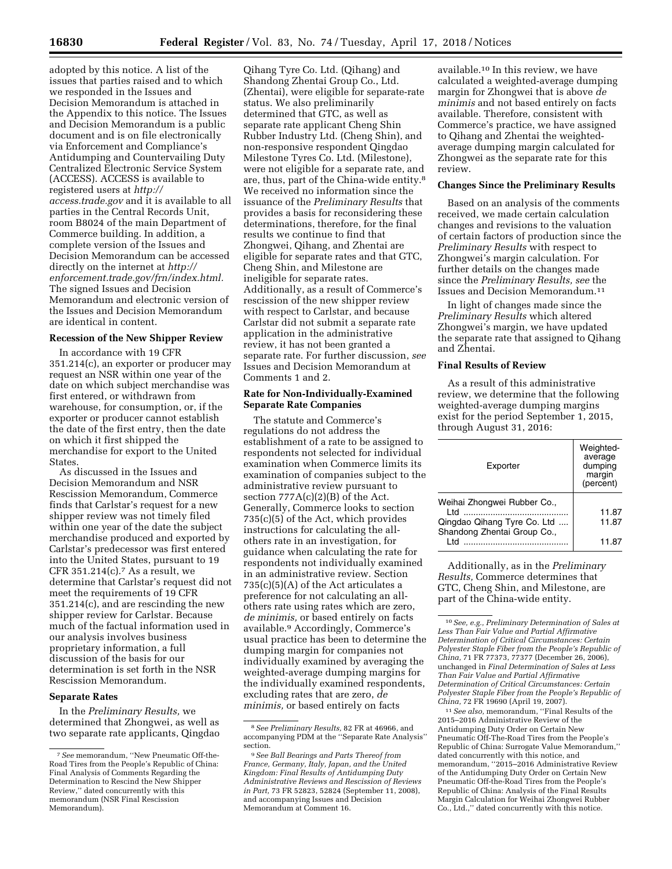adopted by this notice. A list of the issues that parties raised and to which we responded in the Issues and Decision Memorandum is attached in the Appendix to this notice. The Issues and Decision Memorandum is a public document and is on file electronically via Enforcement and Compliance's Antidumping and Countervailing Duty Centralized Electronic Service System (ACCESS). ACCESS is available to registered users at *[http://](http://access.trade.gov) [access.trade.gov](http://access.trade.gov)* and it is available to all parties in the Central Records Unit, room B8024 of the main Department of Commerce building. In addition, a complete version of the Issues and Decision Memorandum can be accessed directly on the internet at *[http://](http://enforcement.trade.gov/frn/index.html) [enforcement.trade.gov/frn/index.html.](http://enforcement.trade.gov/frn/index.html)*  The signed Issues and Decision Memorandum and electronic version of the Issues and Decision Memorandum are identical in content.

### **Recession of the New Shipper Review**

In accordance with 19 CFR 351.214(c), an exporter or producer may request an NSR within one year of the date on which subject merchandise was first entered, or withdrawn from warehouse, for consumption, or, if the exporter or producer cannot establish the date of the first entry, then the date on which it first shipped the merchandise for export to the United **States** 

As discussed in the Issues and Decision Memorandum and NSR Rescission Memorandum, Commerce finds that Carlstar's request for a new shipper review was not timely filed within one year of the date the subject merchandise produced and exported by Carlstar's predecessor was first entered into the United States, pursuant to 19 CFR  $351.214(c)$ . As a result, we determine that Carlstar's request did not meet the requirements of 19 CFR 351.214(c), and are rescinding the new shipper review for Carlstar. Because much of the factual information used in our analysis involves business proprietary information, a full discussion of the basis for our determination is set forth in the NSR Rescission Memorandum.

#### **Separate Rates**

In the *Preliminary Results,* we determined that Zhongwei, as well as two separate rate applicants, Qingdao

Qihang Tyre Co. Ltd. (Qihang) and Shandong Zhentai Group Co., Ltd. (Zhentai), were eligible for separate-rate status. We also preliminarily determined that GTC, as well as separate rate applicant Cheng Shin Rubber Industry Ltd. (Cheng Shin), and non-responsive respondent Qingdao Milestone Tyres Co. Ltd. (Milestone), were not eligible for a separate rate, and are, thus, part of the China-wide entity.8 We received no information since the issuance of the *Preliminary Results* that provides a basis for reconsidering these determinations, therefore, for the final results we continue to find that Zhongwei, Qihang, and Zhentai are eligible for separate rates and that GTC, Cheng Shin, and Milestone are ineligible for separate rates. Additionally, as a result of Commerce's rescission of the new shipper review with respect to Carlstar, and because Carlstar did not submit a separate rate application in the administrative review, it has not been granted a separate rate. For further discussion, *see*  Issues and Decision Memorandum at Comments 1 and 2.

#### **Rate for Non-Individually-Examined Separate Rate Companies**

The statute and Commerce's regulations do not address the establishment of a rate to be assigned to respondents not selected for individual examination when Commerce limits its examination of companies subject to the administrative review pursuant to section  $777A(c)(2)(B)$  of the Act. Generally, Commerce looks to section 735(c)(5) of the Act, which provides instructions for calculating the allothers rate in an investigation, for guidance when calculating the rate for respondents not individually examined in an administrative review. Section  $735(c)(5)(A)$  of the Act articulates a preference for not calculating an allothers rate using rates which are zero, *de minimis,* or based entirely on facts available.9 Accordingly, Commerce's usual practice has been to determine the dumping margin for companies not individually examined by averaging the weighted-average dumping margins for the individually examined respondents, excluding rates that are zero, *de minimis,* or based entirely on facts

available.10 In this review, we have calculated a weighted-average dumping margin for Zhongwei that is above *de minimis* and not based entirely on facts available. Therefore, consistent with Commerce's practice, we have assigned to Qihang and Zhentai the weightedaverage dumping margin calculated for Zhongwei as the separate rate for this review.

#### **Changes Since the Preliminary Results**

Based on an analysis of the comments received, we made certain calculation changes and revisions to the valuation of certain factors of production since the *Preliminary Results* with respect to Zhongwei's margin calculation. For further details on the changes made since the *Preliminary Results, see* the Issues and Decision Memorandum.11

In light of changes made since the *Preliminary Results* which altered Zhongwei's margin, we have updated the separate rate that assigned to Qihang and Zhentai.

## **Final Results of Review**

As a result of this administrative review, we determine that the following weighted-average dumping margins exist for the period September 1, 2015, through August 31, 2016:

| Exporter                                                                                          | Weighted-<br>average<br>dumping<br>margin<br>(percent) |
|---------------------------------------------------------------------------------------------------|--------------------------------------------------------|
| Weihai Zhongwei Rubber Co.,<br>ht I<br>Qingdao Qihang Tyre Co. Ltd<br>Shandong Zhentai Group Co., | 11.87<br>11.87                                         |
| l td                                                                                              | 11.87                                                  |

Additionally, as in the *Preliminary Results,* Commerce determines that GTC, Cheng Shin, and Milestone, are part of the China-wide entity.

11*See also,* memorandum, ''Final Results of the 2015–2016 Administrative Review of the Antidumping Duty Order on Certain New Pneumatic Off-The-Road Tires from the People's Republic of China: Surrogate Value Memorandum,'' dated concurrently with this notice, and memorandum, ''2015–2016 Administrative Review of the Antidumping Duty Order on Certain New Pneumatic Off-the-Road Tires from the People's Republic of China: Analysis of the Final Results Margin Calculation for Weihai Zhongwei Rubber Co., Ltd.,'' dated concurrently with this notice.

<sup>7</sup>*See* memorandum, ''New Pneumatic Off-the-Road Tires from the People's Republic of China: Final Analysis of Comments Regarding the Determination to Rescind the New Shipper Review,'' dated concurrently with this memorandum (NSR Final Rescission Memorandum).

<sup>8</sup>*See Preliminary Results,* 82 FR at 46966, and accompanying PDM at the ''Separate Rate Analysis'' section.

<sup>9</sup>*See Ball Bearings and Parts Thereof from France, Germany, Italy, Japan, and the United Kingdom: Final Results of Antidumping Duty Administrative Reviews and Rescission of Reviews in Part,* 73 FR 52823, 52824 (September 11, 2008), and accompanying Issues and Decision Memorandum at Comment 16.

<sup>10</sup>*See, e.g., Preliminary Determination of Sales at Less Than Fair Value and Partial Affirmative Determination of Critical Circumstances: Certain Polyester Staple Fiber from the People's Republic of China,* 71 FR 77373, 77377 (December 26, 2006), unchanged in *Final Determination of Sales at Less Than Fair Value and Partial Affirmative Determination of Critical Circumstances: Certain Polyester Staple Fiber from the People's Republic of China,* 72 FR 19690 (April 19, 2007).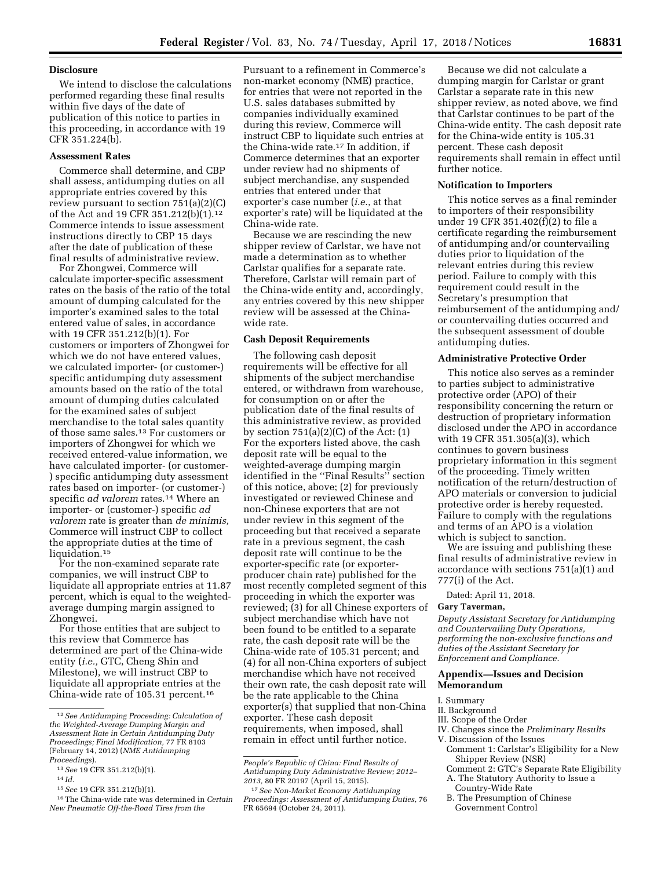#### **Disclosure**

We intend to disclose the calculations performed regarding these final results within five days of the date of publication of this notice to parties in this proceeding, in accordance with 19 CFR 351.224(b).

## **Assessment Rates**

Commerce shall determine, and CBP shall assess, antidumping duties on all appropriate entries covered by this review pursuant to section 751(a)(2)(C) of the Act and 19 CFR 351.212(b)(1).12 Commerce intends to issue assessment instructions directly to CBP 15 days after the date of publication of these final results of administrative review.

For Zhongwei, Commerce will calculate importer-specific assessment rates on the basis of the ratio of the total amount of dumping calculated for the importer's examined sales to the total entered value of sales, in accordance with 19 CFR 351.212(b)(1). For customers or importers of Zhongwei for which we do not have entered values, we calculated importer- (or customer-) specific antidumping duty assessment amounts based on the ratio of the total amount of dumping duties calculated for the examined sales of subject merchandise to the total sales quantity of those same sales.13 For customers or importers of Zhongwei for which we received entered-value information, we have calculated importer- (or customer- ) specific antidumping duty assessment rates based on importer- (or customer-) specific *ad valorem* rates.14 Where an importer- or (customer-) specific *ad valorem* rate is greater than *de minimis,*  Commerce will instruct CBP to collect the appropriate duties at the time of liquidation.<sup>15</sup>

For the non-examined separate rate companies, we will instruct CBP to liquidate all appropriate entries at 11.87 percent, which is equal to the weightedaverage dumping margin assigned to Zhongwei.

For those entities that are subject to this review that Commerce has determined are part of the China-wide entity (*i.e.,* GTC, Cheng Shin and Milestone), we will instruct CBP to liquidate all appropriate entries at the China-wide rate of 105.31 percent.16

Pursuant to a refinement in Commerce's non-market economy (NME) practice, for entries that were not reported in the U.S. sales databases submitted by companies individually examined during this review, Commerce will instruct CBP to liquidate such entries at the China-wide rate.17 In addition, if Commerce determines that an exporter under review had no shipments of subject merchandise, any suspended entries that entered under that exporter's case number (*i.e.,* at that exporter's rate) will be liquidated at the China-wide rate.

Because we are rescinding the new shipper review of Carlstar, we have not made a determination as to whether Carlstar qualifies for a separate rate. Therefore, Carlstar will remain part of the China-wide entity and, accordingly, any entries covered by this new shipper review will be assessed at the Chinawide rate.

### **Cash Deposit Requirements**

The following cash deposit requirements will be effective for all shipments of the subject merchandise entered, or withdrawn from warehouse, for consumption on or after the publication date of the final results of this administrative review, as provided by section  $751(a)(2)(C)$  of the Act:  $(1)$ For the exporters listed above, the cash deposit rate will be equal to the weighted-average dumping margin identified in the ''Final Results'' section of this notice, above; (2) for previously investigated or reviewed Chinese and non-Chinese exporters that are not under review in this segment of the proceeding but that received a separate rate in a previous segment, the cash deposit rate will continue to be the exporter-specific rate (or exporterproducer chain rate) published for the most recently completed segment of this proceeding in which the exporter was reviewed; (3) for all Chinese exporters of subject merchandise which have not been found to be entitled to a separate rate, the cash deposit rate will be the China-wide rate of 105.31 percent; and (4) for all non-China exporters of subject merchandise which have not received their own rate, the cash deposit rate will be the rate applicable to the China exporter(s) that supplied that non-China exporter. These cash deposit requirements, when imposed, shall remain in effect until further notice.

Because we did not calculate a dumping margin for Carlstar or grant Carlstar a separate rate in this new shipper review, as noted above, we find that Carlstar continues to be part of the China-wide entity. The cash deposit rate for the China-wide entity is 105.31 percent. These cash deposit requirements shall remain in effect until further notice.

### **Notification to Importers**

This notice serves as a final reminder to importers of their responsibility under 19 CFR 351.402(f)(2) to file a certificate regarding the reimbursement of antidumping and/or countervailing duties prior to liquidation of the relevant entries during this review period. Failure to comply with this requirement could result in the Secretary's presumption that reimbursement of the antidumping and/ or countervailing duties occurred and the subsequent assessment of double antidumping duties.

## **Administrative Protective Order**

This notice also serves as a reminder to parties subject to administrative protective order (APO) of their responsibility concerning the return or destruction of proprietary information disclosed under the APO in accordance with 19 CFR 351.305(a)(3), which continues to govern business proprietary information in this segment of the proceeding. Timely written notification of the return/destruction of APO materials or conversion to judicial protective order is hereby requested. Failure to comply with the regulations and terms of an APO is a violation which is subject to sanction.

We are issuing and publishing these final results of administrative review in accordance with sections 751(a)(1) and 777(i) of the Act.

Dated: April 11, 2018.

#### **Gary Taverman,**

*Deputy Assistant Secretary for Antidumping and Countervailing Duty Operations, performing the non-exclusive functions and duties of the Assistant Secretary for Enforcement and Compliance.* 

### **Appendix—Issues and Decision Memorandum**

- I. Summary
- II. Background
- III. Scope of the Order
- IV. Changes since the *Preliminary Results*
- V. Discussion of the Issues Comment 1: Carlstar's Eligibility for a New Shipper Review (NSR)
- Comment 2: GTC's Separate Rate Eligibility
- A. The Statutory Authority to Issue a
- Country-Wide Rate
- B. The Presumption of Chinese Government Control

<sup>12</sup>*See Antidumping Proceeding: Calculation of the Weighted-Average Dumping Margin and Assessment Rate in Certain Antidumping Duty Proceedings; Final Modification,* 77 FR 8103 (February 14, 2012) (*NME Antidumping Proceedings*).

<sup>13</sup>*See* 19 CFR 351.212(b)(1).

<sup>14</sup> *Id.* 

<sup>15</sup>*See* 19 CFR 351.212(b)(1).

<sup>16</sup>The China-wide rate was determined in *Certain New Pneumatic Off-the-Road Tires from the* 

*People's Republic of China: Final Results of Antidumping Duty Administrative Review; 2012– 2013,* 80 FR 20197 (April 15, 2015).

<sup>17</sup>*See Non-Market Economy Antidumping Proceedings: Assessment of Antidumping Duties,* 76 FR 65694 (October 24, 2011).